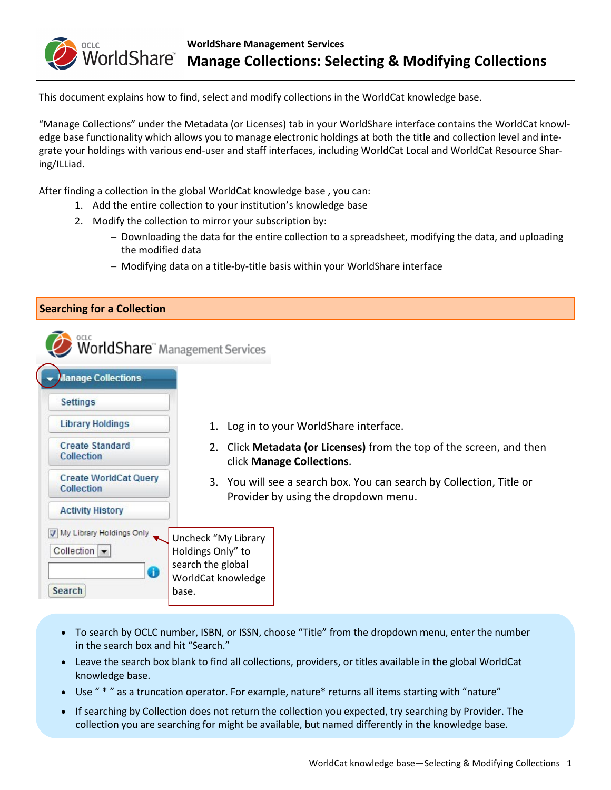**WorldShare Management Services**

**Manage Collections: Selecting & Modifying Collections** 

This document explains how to find, select and modify collections in the WorldCat knowledge base.

"Manage Collections" under the Metadata (or Licenses) tab in your WorldShare interface contains the WorldCat knowledge base functionality which allows you to manage electronic holdings at both the title and collection level and integrate your holdings with various end-user and staff interfaces, including WorldCat Local and WorldCat Resource Sharing/ILLiad.

After finding a collection in the global WorldCat knowledge base , you can:

- 1. Add the entire collection to your institution's knowledge base
- 2. Modify the collection to mirror your subscription by:
	- $-$  Downloading the data for the entire collection to a spreadsheet, modifying the data, and uploading the modified data
	- Modifying data on a title-by-title basis within your WorldShare interface

| <b>Searching for a Collection</b>                                          |                                                                                                              |
|----------------------------------------------------------------------------|--------------------------------------------------------------------------------------------------------------|
| <b>Manage Collections</b>                                                  | WorldShare" Management Services                                                                              |
| <b>Settings</b>                                                            |                                                                                                              |
| <b>Library Holdings</b>                                                    | Log in to your WorldShare interface.<br>1.                                                                   |
| <b>Create Standard</b><br>Collection                                       | Click Metadata (or Licenses) from the top of the screen, and then<br>2.<br>click Manage Collections.         |
| <b>Create WorldCat Query</b><br>Collection                                 | 3. You will see a search box. You can search by Collection, Title or<br>Provider by using the dropdown menu. |
| <b>Activity History</b>                                                    |                                                                                                              |
| My Library Holdings Only<br>Collection $\blacktriangledown$<br>œ<br>Search | Uncheck "My Library<br>Holdings Only" to<br>search the global<br>WorldCat knowledge<br>base.                 |

- To search by OCLC number, ISBN, or ISSN, choose "Title" from the dropdown menu, enter the number in the search box and hit "Search."
- Leave the search box blank to find all collections, providers, or titles available in the global WorldCat knowledge base.
- Use " \* " as a truncation operator. For example, nature\* returns all items starting with "nature"
- If searching by Collection does not return the collection you expected, try searching by Provider. The collection you are searching for might be available, but named differently in the knowledge base.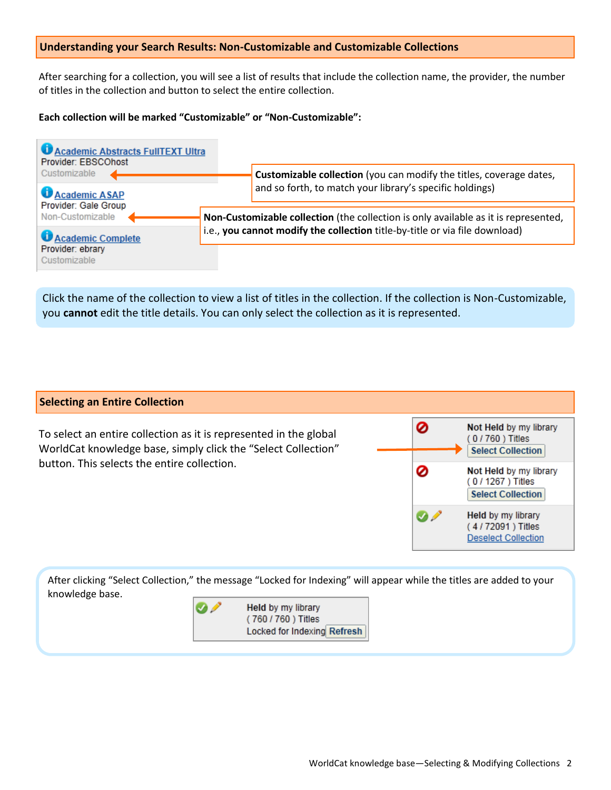## **Understanding your Search Results: Non-Customizable and Customizable Collections**

After searching for a collection, you will see a list of results that include the collection name, the provider, the number of titles in the collection and button to select the entire collection.

## **Each collection will be marked "Customizable" or "Non-Customizable":**



Click the name of the collection to view a list of titles in the collection. If the collection is Non-Customizable, you **cannot** edit the title details. You can only select the collection as it is represented.

#### **Selecting an Entire Collection**

To select an entire collection as it is represented in the global WorldCat knowledge base, simply click the "Select Collection" button. This selects the entire collection.



After clicking "Select Collection," the message "Locked for Indexing" will appear while the titles are added to your knowledge base.

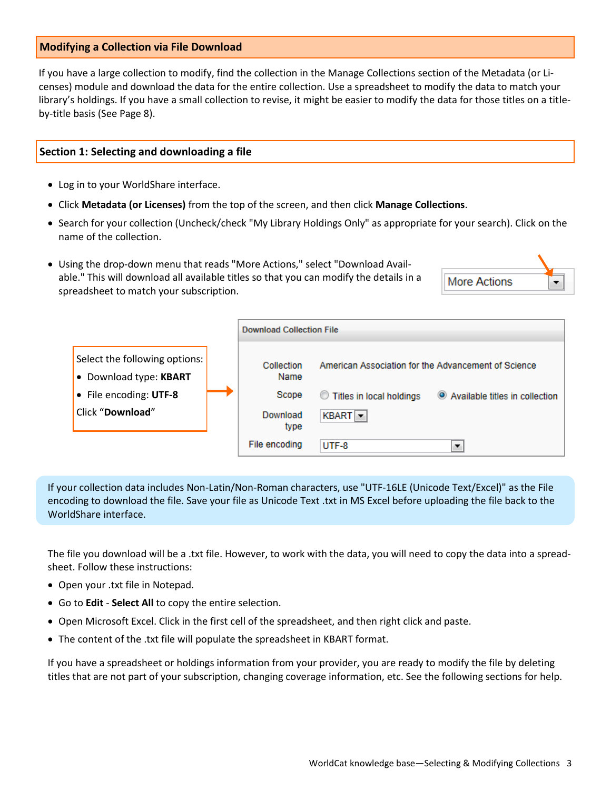## **Modifying a Collection via File Download**

If you have a large collection to modify, find the collection in the Manage Collections section of the Metadata (or Licenses) module and download the data for the entire collection. Use a spreadsheet to modify the data to match your library's holdings. If you have a small collection to revise, it might be easier to modify the data for those titles on a titleby-title basis (See Page 8).

### **Section 1: Selecting and downloading a file**

- Log in to your WorldShare interface.
- Click **Metadata (or Licenses)** from the top of the screen, and then click **Manage Collections**.
- Search for your collection (Uncheck/check "My Library Holdings Only" as appropriate for your search). Click on the name of the collection.
- Using the drop-down menu that reads "More Actions," select "Download Available." This will download all available titles so that you can modify the details in a spreadsheet to match your subscription.





If your collection data includes Non-Latin/Non-Roman characters, use "UTF-16LE (Unicode Text/Excel)" as the File encoding to download the file. Save your file as Unicode Text .txt in MS Excel before uploading the file back to the WorldShare interface.

The file you download will be a .txt file. However, to work with the data, you will need to copy the data into a spreadsheet. Follow these instructions:

- Open your .txt file in Notepad.
- Go to **Edit Select All** to copy the entire selection.
- Open Microsoft Excel. Click in the first cell of the spreadsheet, and then right click and paste.
- The content of the .txt file will populate the spreadsheet in KBART format.

If you have a spreadsheet or holdings information from your provider, you are ready to modify the file by deleting titles that are not part of your subscription, changing coverage information, etc. See the following sections for help.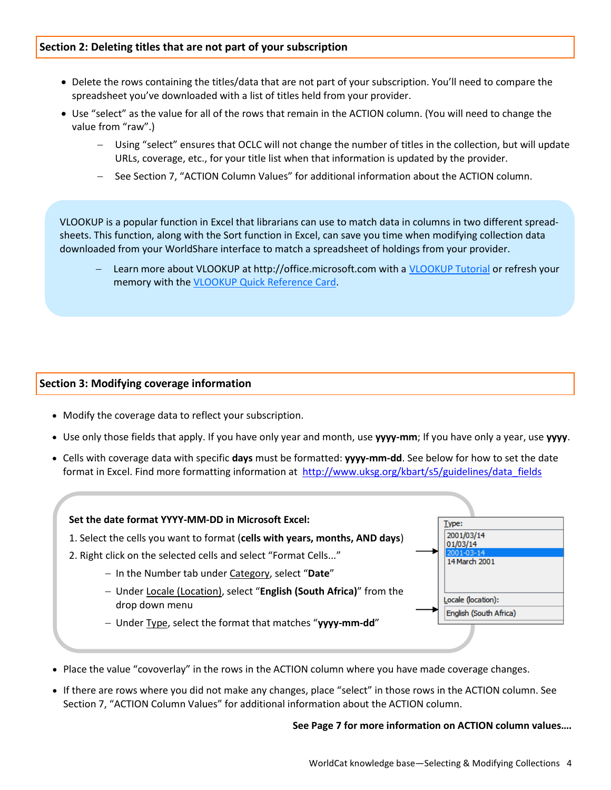# **Section 2: Deleting titles that are not part of your subscription**

- Delete the rows containing the titles/data that are not part of your subscription. You'll need to compare the spreadsheet you've downloaded with a list of titles held from your provider.
- Use "select" as the value for all of the rows that remain in the ACTION column. (You will need to change the value from "raw".)
	- Using "select" ensures that OCLC will not change the number of titles in the collection, but will update URLs, coverage, etc., for your title list when that information is updated by the provider.
	- See Section 7, "ACTION Column Values" for additional information about the ACTION column.

VLOOKUP is a popular function in Excel that librarians can use to match data in columns in two different spreadsheets. This function, along with the Sort function in Excel, can save you time when modifying collection data downloaded from your WorldShare interface to match a spreadsheet of holdings from your provider.

 Learn more about VLOOKUP at http://office.microsoft.com with a [VLOOKUP Tutorial](http://office.microsoft.com/en-us/excel-help/overview-RZ101862716.aspx?CTT=1§ion=1) or refresh your memory with the [VLOOKUP Quick Reference Card.](http://office.microsoft.com/en-us/excel-help/quick-reference-card-RZ101862716.aspx?CTT=1§ion=10&mode=print)

### **Section 3: Modifying coverage information**

- Modify the coverage data to reflect your subscription.
- Use only those fields that apply. If you have only year and month, use **yyyy-mm**; If you have only a year, use **yyyy**.
- Cells with coverage data with specific **days** must be formatted: **yyyy-mm-dd**. See below for how to set the date format in Excel. Find more formatting information at [http://www.uksg.org/kbart/s5/guidelines/data\\_fields](http://www.uksg.org/kbart/s5/guidelines/data_fields)



- Place the value "covoverlay" in the rows in the ACTION column where you have made coverage changes.
- If there are rows where you did not make any changes, place "select" in those rows in the ACTION column. See Section 7, "ACTION Column Values" for additional information about the ACTION column.

#### **See Page 7 for more information on ACTION column values….**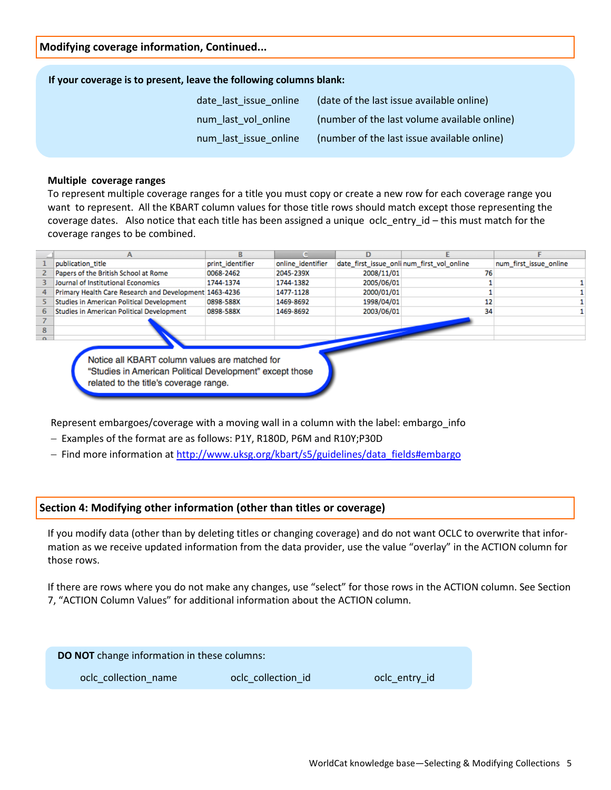### **If your coverage is to present, leave the following columns blank:**

| date last issue online | (date of the last issue available online)    |
|------------------------|----------------------------------------------|
| num last vol online    | (number of the last volume available online) |
| num_last issue online  | (number of the last issue available online)  |

#### **Multiple coverage ranges**

To represent multiple coverage ranges for a title you must copy or create a new row for each coverage range you want to represent. All the KBART column values for those title rows should match except those representing the coverage dates. Also notice that each title has been assigned a unique oclc\_entry\_id – this must match for the coverage ranges to be combined.

|        | publication title                                      | print identifier | online identifier |            | date first issue onlinum first vol online | num first issue online |  |  |  |
|--------|--------------------------------------------------------|------------------|-------------------|------------|-------------------------------------------|------------------------|--|--|--|
|        | Papers of the British School at Rome                   | 0068-2462        | 2045-239X         | 2008/11/01 |                                           |                        |  |  |  |
|        | Journal of Institutional Economics                     | 1744-1374        | 1744-1382         | 2005/06/01 |                                           |                        |  |  |  |
|        | Primary Health Care Research and Development 1463-4236 |                  | 1477-1128         | 2000/01/01 |                                           |                        |  |  |  |
|        | Studies in American Political Development              | 0898-588X        | 1469-8692         | 1998/04/01 |                                           |                        |  |  |  |
| 6      | Studies in American Political Development              | 0898-588X        | 1469-8692         | 2003/06/01 | 34                                        |                        |  |  |  |
|        |                                                        |                  |                   |            |                                           |                        |  |  |  |
| 8      |                                                        |                  |                   |            |                                           |                        |  |  |  |
| $\sim$ |                                                        |                  |                   |            |                                           |                        |  |  |  |
|        |                                                        |                  |                   |            |                                           |                        |  |  |  |
|        | Notice all KBART column values are matched for         |                  |                   |            |                                           |                        |  |  |  |

"Studies in American Political Development" except those related to the title's coverage range.

Represent embargoes/coverage with a moving wall in a column with the label: embargo\_info

- Examples of the format are as follows: P1Y, R180D, P6M and R10Y;P30D
- Find more information at [http://www.uksg.org/kbart/s5/guidelines/data\\_fields#embargo](http://www.uksg.org/kbart/s5/guidelines/data_fields#embargo)

### **Section 4: Modifying other information (other than titles or coverage)**

If you modify data (other than by deleting titles or changing coverage) and do not want OCLC to overwrite that information as we receive updated information from the data provider, use the value "overlay" in the ACTION column for those rows.

If there are rows where you do not make any changes, use "select" for those rows in the ACTION column. See Section 7, "ACTION Column Values" for additional information about the ACTION column.

| <b>DO NOT</b> change information in these columns: |                    |               |  |  |
|----------------------------------------------------|--------------------|---------------|--|--|
| oclc collection name                               | oclc collection id | oclc entry id |  |  |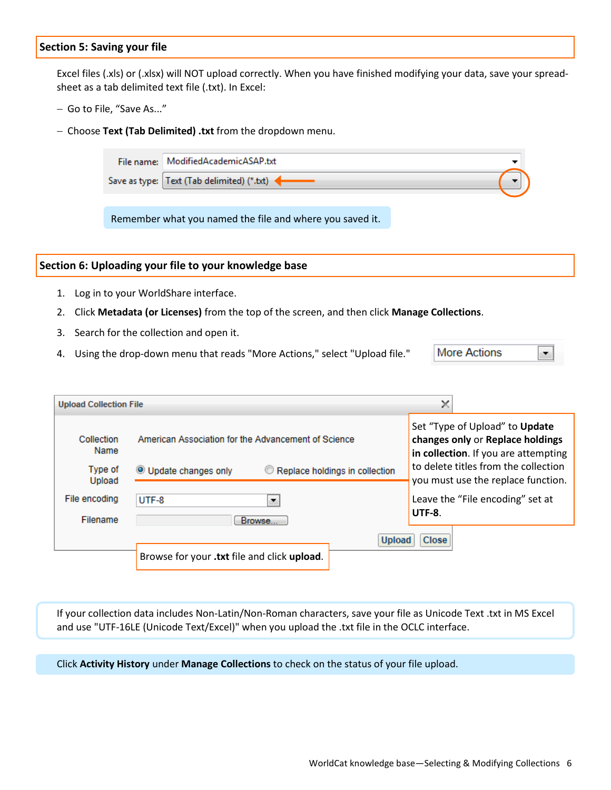## **Section 5: Saving your file**

Excel files (.xls) or (.xlsx) will NOT upload correctly. When you have finished modifying your data, save your spreadsheet as a tab delimited text file (.txt). In Excel:

- Go to File, "Save As..."
- Choose **Text (Tab Delimited) .txt** from the dropdown menu.

File name: ModifiedAcademicASAP.txt Save as type: Text (Tab delimited) (\*.txt) <

Remember what you named the file and where you saved it.

#### **Section 6: Uploading your file to your knowledge base**

- 1. Log in to your WorldShare interface.
- 2. Click **Metadata (or Licenses)** from the top of the screen, and then click **Manage Collections**.
- 3. Search for the collection and open it.
- 4. Using the drop-down menu that reads "More Actions," select "Upload file."

**More Actions** ▼

| <b>Upload Collection File</b> |                                                                | ×                                                                                                          |
|-------------------------------|----------------------------------------------------------------|------------------------------------------------------------------------------------------------------------|
| Collection<br>Name            | American Association for the Advancement of Science            | Set "Type of Upload" to Update<br>changes only or Replace holdings<br>in collection. If you are attempting |
| Type of<br>Upload             | Replace holdings in collection<br><b>O</b> Update changes only | to delete titles from the collection<br>you must use the replace function.                                 |
| File encoding<br>Filename     | UTF-8<br>Browse                                                | Leave the "File encoding" set at<br>$UTF-8.$                                                               |
|                               | <b>Upload</b>                                                  | <b>Close</b>                                                                                               |
|                               | Browse for your .txt file and click upload.                    |                                                                                                            |

If your collection data includes Non-Latin/Non-Roman characters, save your file as Unicode Text .txt in MS Excel and use "UTF-16LE (Unicode Text/Excel)" when you upload the .txt file in the OCLC interface.

Click **Activity History** under **Manage Collections** to check on the status of your file upload.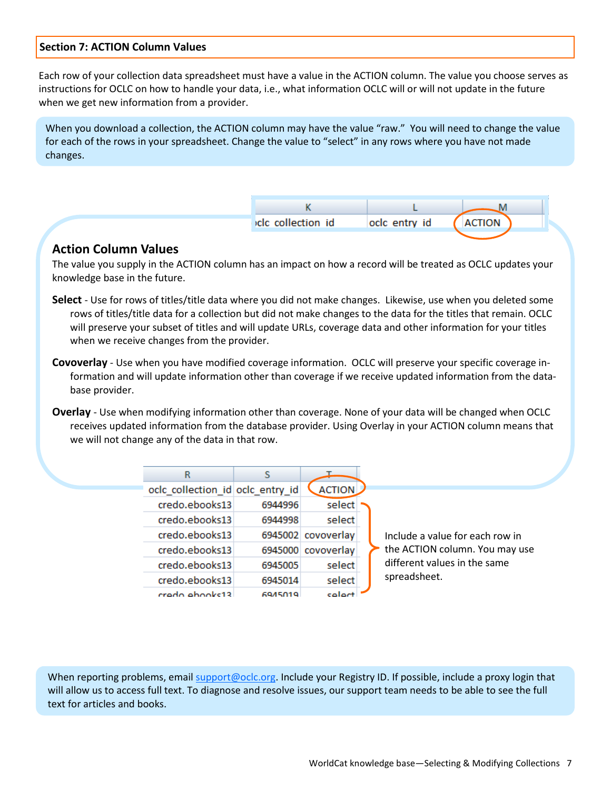## **Section 7: ACTION Column Values**

Each row of your collection data spreadsheet must have a value in the ACTION column. The value you choose serves as instructions for OCLC on how to handle your data, i.e., what information OCLC will or will not update in the future when we get new information from a provider.

When you download a collection, the ACTION column may have the value "raw." You will need to change the value for each of the rows in your spreadsheet. Change the value to "select" in any rows where you have not made changes.

| oclc collection id | oclc entry id | <b>ACTION</b> |  |
|--------------------|---------------|---------------|--|

# **Action Column Values**

The value you supply in the ACTION column has an impact on how a record will be treated as OCLC updates your knowledge base in the future.

- **Select** Use for rows of titles/title data where you did not make changes. Likewise, use when you deleted some rows of titles/title data for a collection but did not make changes to the data for the titles that remain. OCLC will preserve your subset of titles and will update URLs, coverage data and other information for your titles when we receive changes from the provider.
- **Covoverlay** Use when you have modified coverage information. OCLC will preserve your specific coverage information and will update information other than coverage if we receive updated information from the database provider.
- **Overlay**  Use when modifying information other than coverage. None of your data will be changed when OCLC receives updated information from the database provider. Using Overlay in your ACTION column means that we will not change any of the data in that row.

|                    |         | R                                |
|--------------------|---------|----------------------------------|
| <b>ACTION</b>      |         | oclc_collection_id oclc_entry_id |
| select             | 6944996 | credo.ebooks13                   |
| select             | 6944998 | credo.ebooks13                   |
| 6945002 covoverlay |         | credo.ebooks13                   |
| 6945000 covoverlay |         | credo.ebooks13                   |
| select             | 6945005 | credo.ebooks13                   |
| select             | 6945014 | credo.ebooks13                   |
| بمامع              | 6945019 | crado abooks12                   |

Include a value for each row in the ACTION column. You may use different values in the same spreadsheet.

When reporting problems, email [support@oclc.org.](mailto:support@oclc.org) Include your Registry ID. If possible, include a proxy login that will allow us to access full text. To diagnose and resolve issues, our support team needs to be able to see the full text for articles and books.